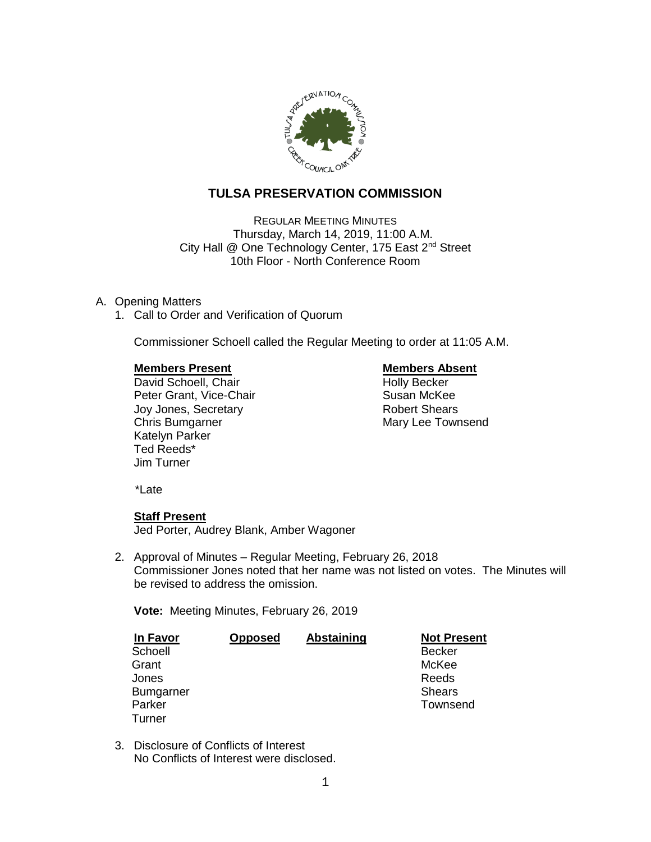

# **TULSA PRESERVATION COMMISSION**

REGULAR MEETING MINUTES Thursday, March 14, 2019, 11:00 A.M. City Hall @ One Technology Center, 175 East 2<sup>nd</sup> Street 10th Floor - North Conference Room

## A. Opening Matters

1. Call to Order and Verification of Quorum

Commissioner Schoell called the Regular Meeting to order at 11:05 A.M.

**Members Present Nembers Absent Constructed Absent Absent Present Absent Absent Absent Absent Absent Absent Absent Absent Absent Absent Absent Absent Absent Absent Absent Absent Absent Absent Absent Absent Absent Absent Ab** David Schoell, Chair<br>
Peter Grant. Vice-Chair<br>
Peter Grant. Vice-Chair<br>
Cuba Busan McKee Peter Grant, Vice-Chair Joy Jones, Secretary **Robert Shears** Robert Shears Chris Bumgarner Mary Lee Townsend Katelyn Parker Ted Reeds\* Jim Turner

\*Late

## **Staff Present**

Jed Porter, Audrey Blank, Amber Wagoner

2. Approval of Minutes – Regular Meeting, February 26, 2018 Commissioner Jones noted that her name was not listed on votes. The Minutes will be revised to address the omission.

**Vote:** Meeting Minutes, February 26, 2019

| <b>In Favor</b>  | <b>Opposed</b> | <b>Abstaining</b> | <b>Not Present</b> |
|------------------|----------------|-------------------|--------------------|
| Schoell          |                |                   | <b>Becker</b>      |
| Grant            |                |                   | McKee              |
| Jones            |                |                   | Reeds              |
| <b>Bumgarner</b> |                |                   | <b>Shears</b>      |
| Parker           |                |                   | Townsend           |
| Turner           |                |                   |                    |

3. Disclosure of Conflicts of Interest No Conflicts of Interest were disclosed.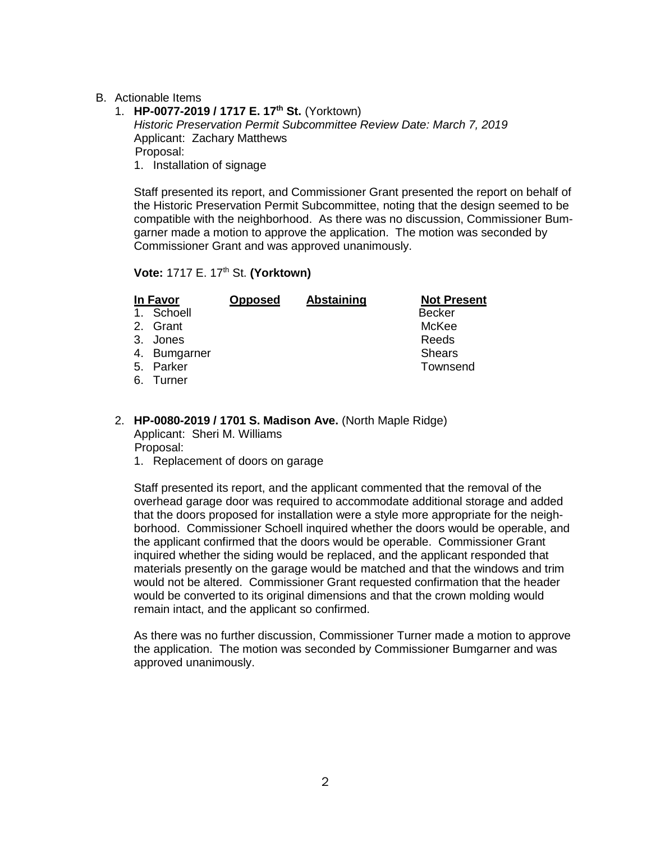## B. Actionable Items

1. **HP-0077-2019 / 1717 E. 17th St.** (Yorktown) *Historic Preservation Permit Subcommittee Review Date: March 7, 2019* Applicant: Zachary Matthews Proposal: 1. Installation of signage

Staff presented its report, and Commissioner Grant presented the report on behalf of the Historic Preservation Permit Subcommittee, noting that the design seemed to be compatible with the neighborhood. As there was no discussion, Commissioner Bumgarner made a motion to approve the application. The motion was seconded by Commissioner Grant and was approved unanimously.

**Vote:** 1717 E. 17th St. **(Yorktown)**

| In Favor     | <b>Opposed</b> | Abstaining | <b>Not Present</b> |
|--------------|----------------|------------|--------------------|
| 1. Schoell   |                |            | <b>Becker</b>      |
| 2. Grant     |                |            | McKee              |
| 3. Jones     |                |            | Reeds              |
| 4. Bumgarner |                |            | <b>Shears</b>      |
| 5. Parker    |                |            | Townsend           |
| 6. Turner    |                |            |                    |

### 2. **HP-0080-2019 / 1701 S. Madison Ave.** (North Maple Ridge) Applicant: Sheri M. Williams

Proposal:

1. Replacement of doors on garage

Staff presented its report, and the applicant commented that the removal of the overhead garage door was required to accommodate additional storage and added that the doors proposed for installation were a style more appropriate for the neighborhood. Commissioner Schoell inquired whether the doors would be operable, and the applicant confirmed that the doors would be operable. Commissioner Grant inquired whether the siding would be replaced, and the applicant responded that materials presently on the garage would be matched and that the windows and trim would not be altered. Commissioner Grant requested confirmation that the header would be converted to its original dimensions and that the crown molding would remain intact, and the applicant so confirmed.

As there was no further discussion, Commissioner Turner made a motion to approve the application. The motion was seconded by Commissioner Bumgarner and was approved unanimously.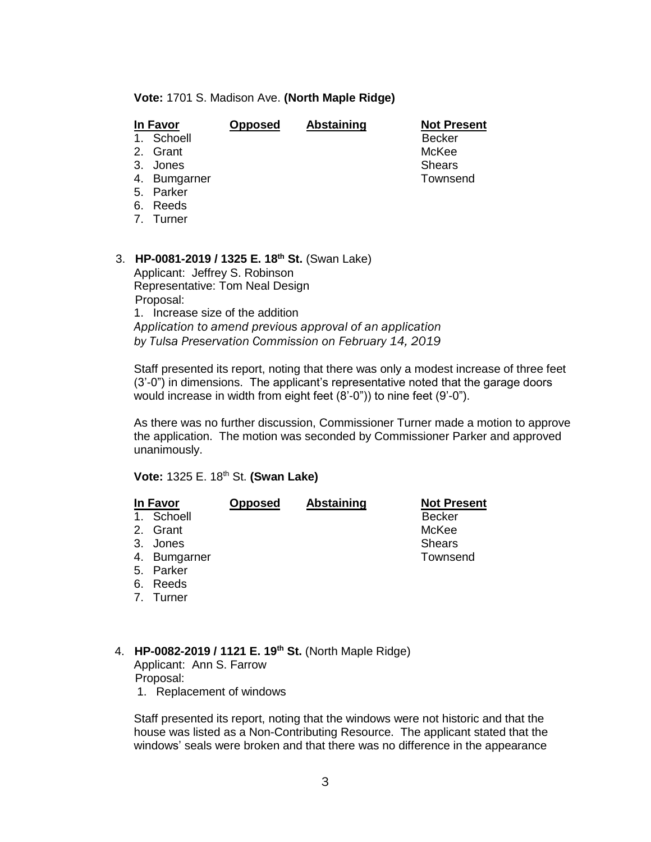### **Vote:** 1701 S. Madison Ave. **(North Maple Ridge)**

| In Favor        | <b>Opposed</b> | <b>Abstaining</b> | <b>Not Present</b> |
|-----------------|----------------|-------------------|--------------------|
| Schoell<br>1.   |                |                   | <b>Becker</b>      |
| 2. Grant        |                |                   | McKee              |
| 3.<br>Jones     |                |                   | <b>Shears</b>      |
| Bumgarner<br>4. |                |                   | Townsend           |
| Parker<br>5.    |                |                   |                    |
| Reeds<br>6.     |                |                   |                    |
| 7. Turner       |                |                   |                    |
|                 |                |                   |                    |
|                 |                |                   |                    |

## 3. **HP-0081-2019 / 1325 E. 18th St.** (Swan Lake)

Applicant: Jeffrey S. Robinson Representative: Tom Neal Design Proposal:

1. Increase size of the addition *Application to amend previous approval of an application by Tulsa Preservation Commission on February 14, 2019*

Staff presented its report, noting that there was only a modest increase of three feet (3'-0") in dimensions. The applicant's representative noted that the garage doors would increase in width from eight feet (8'-0")) to nine feet (9'-0").

As there was no further discussion, Commissioner Turner made a motion to approve the application. The motion was seconded by Commissioner Parker and approved unanimously.

**Vote:** 1325 E. 18th St. **(Swan Lake)**

|       | <b>Opposed</b>                                                                           | <b>Abstaining</b> | <b>Not Present</b> |
|-------|------------------------------------------------------------------------------------------|-------------------|--------------------|
|       |                                                                                          |                   | <b>Becker</b>      |
|       |                                                                                          |                   | McKee              |
|       |                                                                                          |                   | <b>Shears</b>      |
|       |                                                                                          |                   | Townsend           |
|       |                                                                                          |                   |                    |
| Reeds |                                                                                          |                   |                    |
|       |                                                                                          |                   |                    |
|       |                                                                                          |                   |                    |
|       | In Favor<br>Schoell<br>2. Grant<br>Jones<br>4. Bumgarner<br>5. Parker<br>6.<br>7. Turner |                   |                    |

4. **HP-0082-2019 / 1121 E. 19th St.** (North Maple Ridge) Applicant: Ann S. Farrow Proposal:

1. Replacement of windows

Staff presented its report, noting that the windows were not historic and that the house was listed as a Non-Contributing Resource. The applicant stated that the windows' seals were broken and that there was no difference in the appearance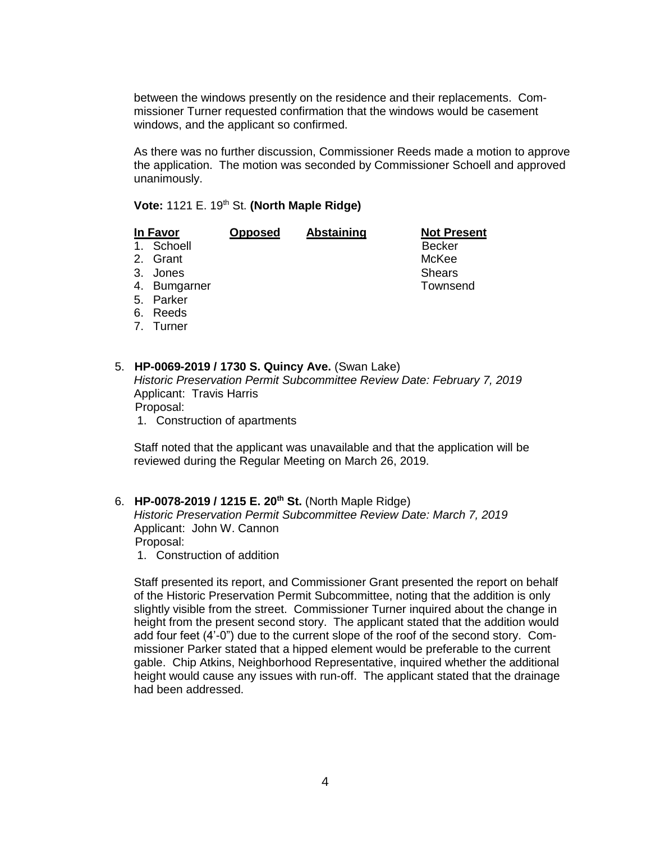between the windows presently on the residence and their replacements. Commissioner Turner requested confirmation that the windows would be casement windows, and the applicant so confirmed.

As there was no further discussion, Commissioner Reeds made a motion to approve the application. The motion was seconded by Commissioner Schoell and approved unanimously.

**Vote:** 1121 E. 19th St. **(North Maple Ridge)**

|    | In Favor  | <b>Opposed</b> | <b>Abstaining</b> | <b>Not Present</b> |
|----|-----------|----------------|-------------------|--------------------|
| 1. | Schoell   |                |                   | <b>Becker</b>      |
|    | 2. Grant  |                |                   | McKee              |
| 3. | Jones     |                |                   | <b>Shears</b>      |
| 4. | Bumgarner |                |                   | Townsend           |
| 5. | Parker    |                |                   |                    |
| 6. | Reeds     |                |                   |                    |
|    | 7. Turner |                |                   |                    |
|    |           |                |                   |                    |

## 5. **HP-0069-2019 / 1730 S. Quincy Ave.** (Swan Lake) *Historic Preservation Permit Subcommittee Review Date: February 7, 2019* Applicant: Travis Harris

Proposal:

1. Construction of apartments

Staff noted that the applicant was unavailable and that the application will be reviewed during the Regular Meeting on March 26, 2019.

## 6. **HP-0078-2019 / 1215 E. 20th St.** (North Maple Ridge)

*Historic Preservation Permit Subcommittee Review Date: March 7, 2019* Applicant: John W. Cannon Proposal:

1. Construction of addition

Staff presented its report, and Commissioner Grant presented the report on behalf of the Historic Preservation Permit Subcommittee, noting that the addition is only slightly visible from the street. Commissioner Turner inquired about the change in height from the present second story. The applicant stated that the addition would add four feet (4'-0") due to the current slope of the roof of the second story. Commissioner Parker stated that a hipped element would be preferable to the current gable. Chip Atkins, Neighborhood Representative, inquired whether the additional height would cause any issues with run-off. The applicant stated that the drainage had been addressed.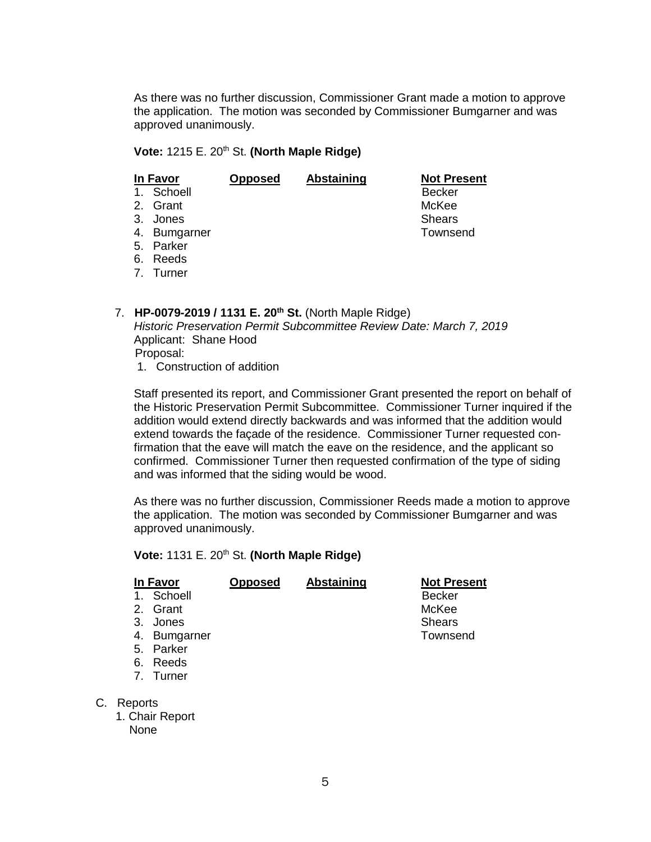As there was no further discussion, Commissioner Grant made a motion to approve the application. The motion was seconded by Commissioner Bumgarner and was approved unanimously.

## **Vote:** 1215 E. 20th St. **(North Maple Ridge)**

|                | In Favor     | <b>Opposed</b> | Abstaining | <b>Not Present</b> |
|----------------|--------------|----------------|------------|--------------------|
| 1 <sub>1</sub> | Schoell      |                |            | <b>Becker</b>      |
|                | 2. Grant     |                |            | McKee              |
| 3 <sub>1</sub> | Jones        |                |            | <b>Shears</b>      |
|                | 4. Bumgarner |                |            | Townsend           |
|                | 5. Parker    |                |            |                    |
|                | 6. Reeds     |                |            |                    |
|                | 7. Turner    |                |            |                    |

7. **HP-0079-2019 / 1131 E. 20th St.** (North Maple Ridge) *Historic Preservation Permit Subcommittee Review Date: March 7, 2019* Applicant: Shane Hood Proposal:

1. Construction of addition

Staff presented its report, and Commissioner Grant presented the report on behalf of the Historic Preservation Permit Subcommittee. Commissioner Turner inquired if the addition would extend directly backwards and was informed that the addition would extend towards the façade of the residence. Commissioner Turner requested confirmation that the eave will match the eave on the residence, and the applicant so confirmed. Commissioner Turner then requested confirmation of the type of siding and was informed that the siding would be wood.

As there was no further discussion, Commissioner Reeds made a motion to approve the application. The motion was seconded by Commissioner Bumgarner and was approved unanimously.

**Vote:** 1131 E. 20th St. **(North Maple Ridge)**

| In Favor     | <b>Opposed</b> | Abstaining | <b>Not Present</b> |
|--------------|----------------|------------|--------------------|
| 1. Schoell   |                |            | <b>Becker</b>      |
| 2. Grant     |                |            | McKee              |
| 3.<br>Jones  |                |            | <b>Shears</b>      |
| 4. Bumgarner |                |            | Townsend           |
| Parker<br>5. |                |            |                    |
| Reeds<br>6.  |                |            |                    |

- 7. Turner
- C. Reports
	- 1. Chair Report None